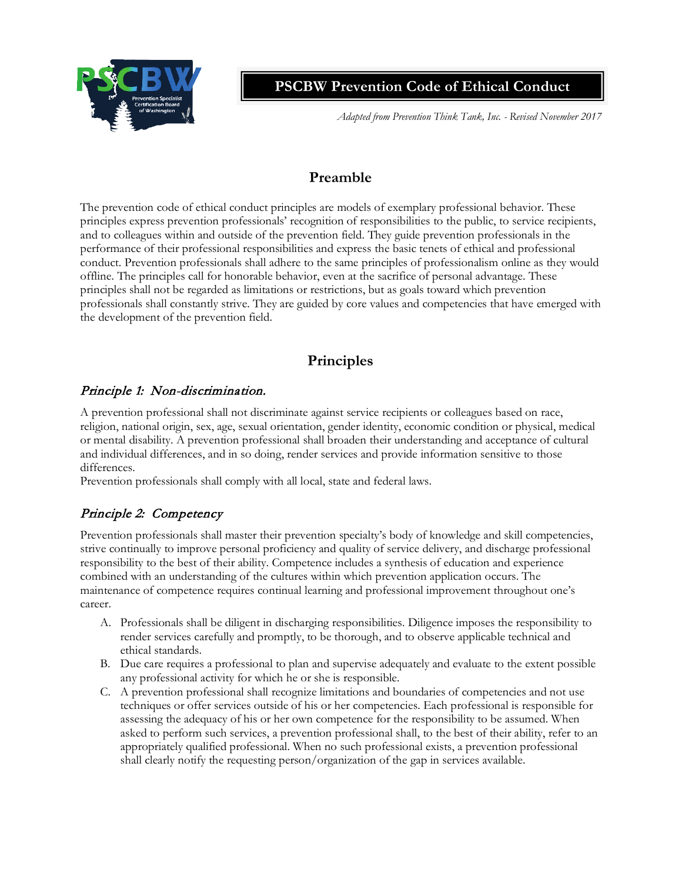

**PSCBW Prevention Code of Ethical Conduct**

*Adapted from Prevention Think Tank, Inc. - Revised November 2017*

# **Preamble**

The prevention code of ethical conduct principles are models of exemplary professional behavior. These principles express prevention professionals' recognition of responsibilities to the public, to service recipients, and to colleagues within and outside of the prevention field. They guide prevention professionals in the performance of their professional responsibilities and express the basic tenets of ethical and professional conduct. Prevention professionals shall adhere to the same principles of professionalism online as they would offline. The principles call for honorable behavior, even at the sacrifice of personal advantage. These principles shall not be regarded as limitations or restrictions, but as goals toward which prevention professionals shall constantly strive. They are guided by core values and competencies that have emerged with the development of the prevention field.

# **Principles**

#### Principle 1: Non-discrimination.

A prevention professional shall not discriminate against service recipients or colleagues based on race, religion, national origin, sex, age, sexual orientation, gender identity, economic condition or physical, medical or mental disability. A prevention professional shall broaden their understanding and acceptance of cultural and individual differences, and in so doing, render services and provide information sensitive to those differences.

Prevention professionals shall comply with all local, state and federal laws.

# Principle 2: Competency

Prevention professionals shall master their prevention specialty's body of knowledge and skill competencies, strive continually to improve personal proficiency and quality of service delivery, and discharge professional responsibility to the best of their ability. Competence includes a synthesis of education and experience combined with an understanding of the cultures within which prevention application occurs. The maintenance of competence requires continual learning and professional improvement throughout one's career.

- A. Professionals shall be diligent in discharging responsibilities. Diligence imposes the responsibility to render services carefully and promptly, to be thorough, and to observe applicable technical and ethical standards.
- B. Due care requires a professional to plan and supervise adequately and evaluate to the extent possible any professional activity for which he or she is responsible.
- C. A prevention professional shall recognize limitations and boundaries of competencies and not use techniques or offer services outside of his or her competencies. Each professional is responsible for assessing the adequacy of his or her own competence for the responsibility to be assumed. When asked to perform such services, a prevention professional shall, to the best of their ability, refer to an appropriately qualified professional. When no such professional exists, a prevention professional shall clearly notify the requesting person/organization of the gap in services available.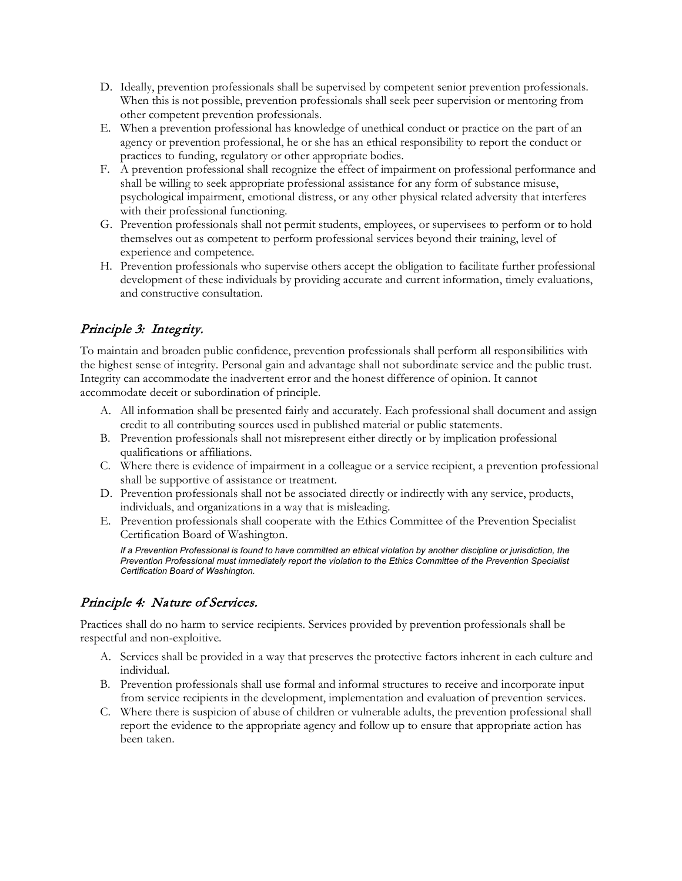- D. Ideally, prevention professionals shall be supervised by competent senior prevention professionals. When this is not possible, prevention professionals shall seek peer supervision or mentoring from other competent prevention professionals.
- E. When a prevention professional has knowledge of unethical conduct or practice on the part of an agency or prevention professional, he or she has an ethical responsibility to report the conduct or practices to funding, regulatory or other appropriate bodies.
- F. A prevention professional shall recognize the effect of impairment on professional performance and shall be willing to seek appropriate professional assistance for any form of substance misuse, psychological impairment, emotional distress, or any other physical related adversity that interferes with their professional functioning.
- G. Prevention professionals shall not permit students, employees, or supervisees to perform or to hold themselves out as competent to perform professional services beyond their training, level of experience and competence.
- H. Prevention professionals who supervise others accept the obligation to facilitate further professional development of these individuals by providing accurate and current information, timely evaluations, and constructive consultation.

## Principle 3: Integrity.

To maintain and broaden public confidence, prevention professionals shall perform all responsibilities with the highest sense of integrity. Personal gain and advantage shall not subordinate service and the public trust. Integrity can accommodate the inadvertent error and the honest difference of opinion. It cannot accommodate deceit or subordination of principle.

- A. All information shall be presented fairly and accurately. Each professional shall document and assign credit to all contributing sources used in published material or public statements.
- B. Prevention professionals shall not misrepresent either directly or by implication professional qualifications or affiliations.
- C. Where there is evidence of impairment in a colleague or a service recipient, a prevention professional shall be supportive of assistance or treatment.
- D. Prevention professionals shall not be associated directly or indirectly with any service, products, individuals, and organizations in a way that is misleading.
- E. Prevention professionals shall cooperate with the Ethics Committee of the Prevention Specialist Certification Board of Washington.

*If a Prevention Professional is found to have committed an ethical violation by another discipline or jurisdiction, the Prevention Professional must immediately report the violation to the Ethics Committee of the Prevention Specialist Certification Board of Washington.* 

#### Principle 4: Nature of Services.

Practices shall do no harm to service recipients. Services provided by prevention professionals shall be respectful and non-exploitive.

- A. Services shall be provided in a way that preserves the protective factors inherent in each culture and individual.
- B. Prevention professionals shall use formal and informal structures to receive and incorporate input from service recipients in the development, implementation and evaluation of prevention services.
- C. Where there is suspicion of abuse of children or vulnerable adults, the prevention professional shall report the evidence to the appropriate agency and follow up to ensure that appropriate action has been taken.